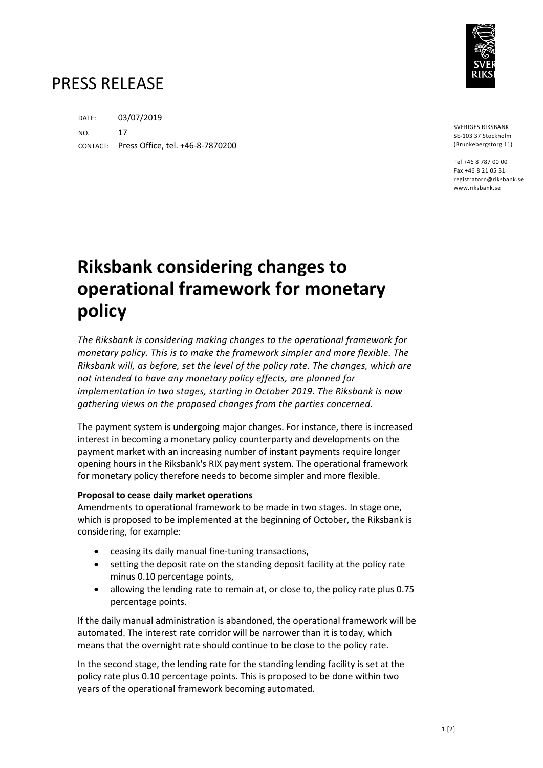

# PRESS RELEASE

DATE: 03/07/2019 NO. 17 CONTACT: Press Office, tel. +46-8-7870200

SVERIGES RIKSBANK SE-103 37 Stockholm (Brunkebergstorg 11)

Tel +46 8 787 00 00 Fax +46 8 21 05 31 registratorn@riksbank.se www.riksbank.se

# **Riksbank considering changes to operational framework for monetary policy**

*The Riksbank is considering making changes to the operational framework for monetary policy. This is to make the framework simpler and more flexible. The Riksbank will, as before, set the level of the policy rate. The changes, which are not intended to have any monetary policy effects, are planned for implementation in two stages, starting in October 2019. The Riksbank is now gathering views on the proposed changes from the parties concerned.*

The payment system is undergoing major changes. For instance, there is increased interest in becoming a monetary policy counterparty and developments on the payment market with an increasing number of instant payments require longer opening hours in the Riksbank's RIX payment system. The operational framework for monetary policy therefore needs to become simpler and more flexible.

## **Proposal to cease daily market operations**

Amendments to operational framework to be made in two stages. In stage one, which is proposed to be implemented at the beginning of October, the Riksbank is considering, for example:

- ceasing its daily manual fine-tuning transactions,
- setting the deposit rate on the standing deposit facility at the policy rate minus 0.10 percentage points,
- allowing the lending rate to remain at, or close to, the policy rate plus 0.75 percentage points.

If the daily manual administration is abandoned, the operational framework will be automated. The interest rate corridor will be narrower than it is today, which means that the overnight rate should continue to be close to the policy rate.

In the second stage, the lending rate for the standing lending facility is set at the policy rate plus 0.10 percentage points. This is proposed to be done within two years of the operational framework becoming automated.